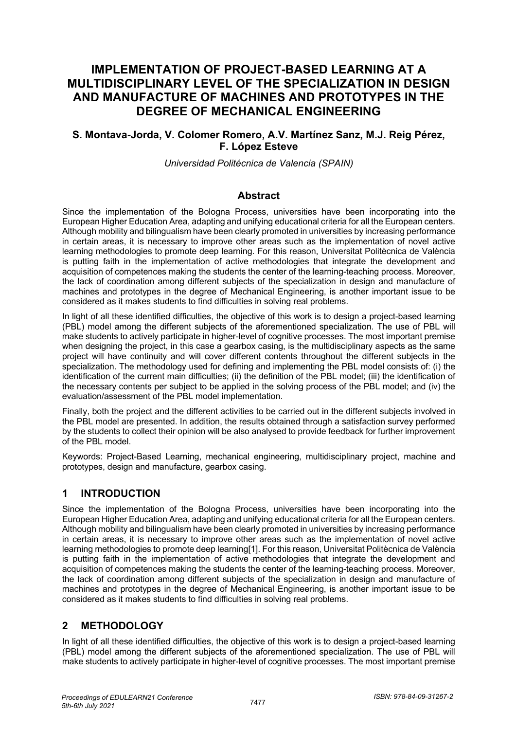# **IMPLEMENTATION OF PROJECT-BASED LEARNING AT A MULTIDISCIPLINARY LEVEL OF THE SPECIALIZATION IN DESIGN AND MANUFACTURE OF MACHINES AND PROTOTYPES IN THE DEGREE OF MECHANICAL ENGINEERING**

### **S. Montava-Jorda, V. Colomer Romero, A.V. Martínez Sanz, M.J. Reig Pérez, F. López Esteve**

*Universidad Politécnica de Valencia (SPAIN)*

### **Abstract**

Since the implementation of the Bologna Process, universities have been incorporating into the European Higher Education Area, adapting and unifying educational criteria for all the European centers. Although mobility and bilingualism have been clearly promoted in universities by increasing performance in certain areas, it is necessary to improve other areas such as the implementation of novel active learning methodologies to promote deep learning. For this reason, Universitat Politècnica de València is putting faith in the implementation of active methodologies that integrate the development and acquisition of competences making the students the center of the learning-teaching process. Moreover, the lack of coordination among different subjects of the specialization in design and manufacture of machines and prototypes in the degree of Mechanical Engineering, is another important issue to be considered as it makes students to find difficulties in solving real problems.

In light of all these identified difficulties, the objective of this work is to design a project-based learning (PBL) model among the different subjects of the aforementioned specialization. The use of PBL will make students to actively participate in higher-level of cognitive processes. The most important premise when designing the project, in this case a gearbox casing, is the multidisciplinary aspects as the same project will have continuity and will cover different contents throughout the different subjects in the specialization. The methodology used for defining and implementing the PBL model consists of: (i) the identification of the current main difficulties; (ii) the definition of the PBL model; (iii) the identification of the necessary contents per subject to be applied in the solving process of the PBL model; and (iv) the evaluation/assessment of the PBL model implementation.

Finally, both the project and the different activities to be carried out in the different subjects involved in the PBL model are presented. In addition, the results obtained through a satisfaction survey performed by the students to collect their opinion will be also analysed to provide feedback for further improvement of the PBL model.

Keywords: Project-Based Learning, mechanical engineering, multidisciplinary project, machine and prototypes, design and manufacture, gearbox casing.

## **1 INTRODUCTION**

Since the implementation of the Bologna Process, universities have been incorporating into the European Higher Education Area, adapting and unifying educational criteria for all the European centers. Although mobility and bilingualism have been clearly promoted in universities by increasing performance in certain areas, it is necessary to improve other areas such as the implementation of novel active learning methodologies to promote deep learning[1]. For this reason, Universitat Politècnica de València is putting faith in the implementation of active methodologies that integrate the development and acquisition of competences making the students the center of the learning-teaching process. Moreover, the lack of coordination among different subjects of the specialization in design and manufacture of machines and prototypes in the degree of Mechanical Engineering, is another important issue to be considered as it makes students to find difficulties in solving real problems.

## **2 METHODOLOGY**

In light of all these identified difficulties, the objective of this work is to design a project-based learning (PBL) model among the different subjects of the aforementioned specialization. The use of PBL will make students to actively participate in higher-level of cognitive processes. The most important premise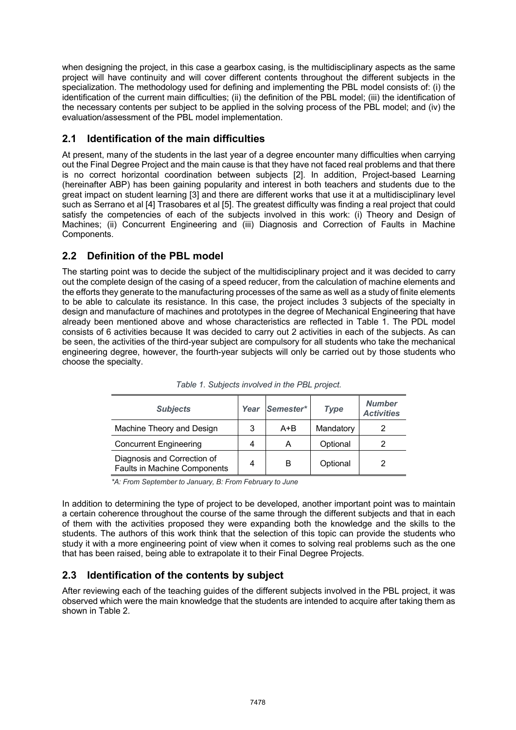when designing the project, in this case a gearbox casing, is the multidisciplinary aspects as the same project will have continuity and will cover different contents throughout the different subjects in the specialization. The methodology used for defining and implementing the PBL model consists of: (i) the identification of the current main difficulties; (ii) the definition of the PBL model; (iii) the identification of the necessary contents per subject to be applied in the solving process of the PBL model; and (iv) the evaluation/assessment of the PBL model implementation.

## **2.1 Identification of the main difficulties**

At present, many of the students in the last year of a degree encounter many difficulties when carrying out the Final Degree Project and the main cause is that they have not faced real problems and that there is no correct horizontal coordination between subjects [2]. In addition, Project-based Learning (hereinafter ABP) has been gaining popularity and interest in both teachers and students due to the great impact on student learning [3] and there are different works that use it at a multidisciplinary level such as Serrano et al [4] Trasobares et al [5]. The greatest difficulty was finding a real project that could satisfy the competencies of each of the subjects involved in this work: (i) Theory and Design of Machines; (ii) Concurrent Engineering and (iii) Diagnosis and Correction of Faults in Machine Components.

## **2.2 Definition of the PBL model**

The starting point was to decide the subject of the multidisciplinary project and it was decided to carry out the complete design of the casing of a speed reducer, from the calculation of machine elements and the efforts they generate to the manufacturing processes of the same as well as a study of finite elements to be able to calculate its resistance. In this case, the project includes 3 subjects of the specialty in design and manufacture of machines and prototypes in the degree of Mechanical Engineering that have already been mentioned above and whose characteristics are reflected in Table 1. The PDL model consists of 6 activities because It was decided to carry out 2 activities in each of the subjects. As can be seen, the activities of the third-year subject are compulsory for all students who take the mechanical engineering degree, however, the fourth-year subjects will only be carried out by those students who choose the specialty.

| <b>Subjects</b>                                             | Year | Semester* | <b>Type</b> | <b>Number</b><br><b>Activities</b> |
|-------------------------------------------------------------|------|-----------|-------------|------------------------------------|
| Machine Theory and Design                                   | 3    | A+B       | Mandatory   |                                    |
| <b>Concurrent Engineering</b>                               | 4    | A         | Optional    |                                    |
| Diagnosis and Correction of<br>Faults in Machine Components | 4    | в         | Optional    |                                    |

*Table 1. Subjects involved in the PBL project.*

*\*A: From September to January, B: From February to June*

In addition to determining the type of project to be developed, another important point was to maintain a certain coherence throughout the course of the same through the different subjects and that in each of them with the activities proposed they were expanding both the knowledge and the skills to the students. The authors of this work think that the selection of this topic can provide the students who study it with a more engineering point of view when it comes to solving real problems such as the one that has been raised, being able to extrapolate it to their Final Degree Projects.

## **2.3 Identification of the contents by subject**

After reviewing each of the teaching guides of the different subjects involved in the PBL project, it was observed which were the main knowledge that the students are intended to acquire after taking them as shown in Table 2.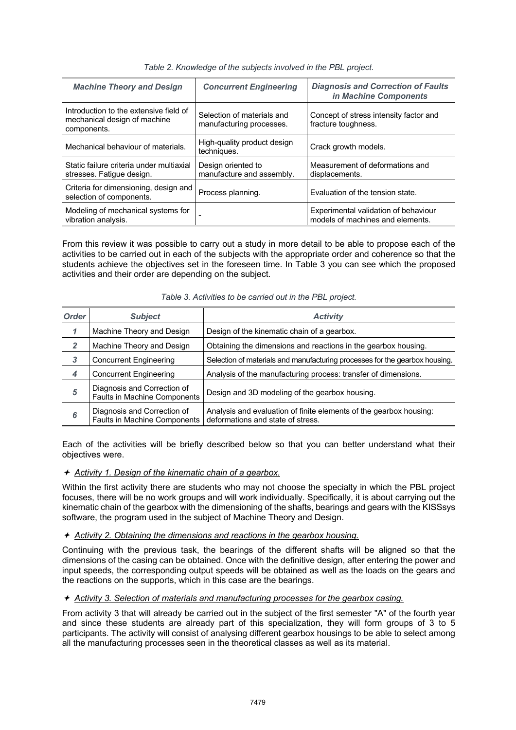| <b>Machine Theory and Design</b>                                                      | <b>Concurrent Engineering</b>                          | <b>Diagnosis and Correction of Faults</b><br>in Machine Components       |
|---------------------------------------------------------------------------------------|--------------------------------------------------------|--------------------------------------------------------------------------|
| Introduction to the extensive field of<br>mechanical design of machine<br>components. | Selection of materials and<br>manufacturing processes. | Concept of stress intensity factor and<br>fracture toughness.            |
| Mechanical behaviour of materials.                                                    | High-quality product design<br>techniques.             | Crack growth models.                                                     |
| Static failure criteria under multiaxial<br>stresses. Fatique design.                 | Design oriented to<br>manufacture and assembly.        | Measurement of deformations and<br>displacements.                        |
| Criteria for dimensioning, design and<br>selection of components.                     | Process planning.                                      | Evaluation of the tension state.                                         |
| Modeling of mechanical systems for<br>vibration analysis.                             | $\overline{\phantom{0}}$                               | Experimental validation of behaviour<br>models of machines and elements. |

*Table 2. Knowledge of the subjects involved in the PBL project.*

From this review it was possible to carry out a study in more detail to be able to propose each of the activities to be carried out in each of the subjects with the appropriate order and coherence so that the students achieve the objectives set in the foreseen time. In Table 3 you can see which the proposed activities and their order are depending on the subject.

| <b>Order</b>   | <b>Subject</b>                                              | <b>Activity</b>                                                                                         |
|----------------|-------------------------------------------------------------|---------------------------------------------------------------------------------------------------------|
| 1              | Machine Theory and Design                                   | Design of the kinematic chain of a gearbox.                                                             |
| $\overline{2}$ | Machine Theory and Design                                   | Obtaining the dimensions and reactions in the gearbox housing.                                          |
| 3              | <b>Concurrent Engineering</b>                               | Selection of materials and manufacturing processes for the gearbox housing.                             |
| 4              | <b>Concurrent Engineering</b>                               | Analysis of the manufacturing process: transfer of dimensions.                                          |
| 5              | Diagnosis and Correction of<br>Faults in Machine Components | Design and 3D modeling of the gearbox housing.                                                          |
| 6              | Diagnosis and Correction of<br>Faults in Machine Components | Analysis and evaluation of finite elements of the gearbox housing:<br>deformations and state of stress. |

*Table 3. Activities to be carried out in the PBL project.*

Each of the activities will be briefly described below so that you can better understand what their objectives were.

ª *Activity 1. Design of the kinematic chain of a gearbox.*

Within the first activity there are students who may not choose the specialty in which the PBL project focuses, there will be no work groups and will work individually. Specifically, it is about carrying out the kinematic chain of the gearbox with the dimensioning of the shafts, bearings and gears with the KISSsys software, the program used in the subject of Machine Theory and Design.

#### ª *Activity 2. Obtaining the dimensions and reactions in the gearbox housing.*

Continuing with the previous task, the bearings of the different shafts will be aligned so that the dimensions of the casing can be obtained. Once with the definitive design, after entering the power and input speeds, the corresponding output speeds will be obtained as well as the loads on the gears and the reactions on the supports, which in this case are the bearings.

#### ª *Activity 3. Selection of materials and manufacturing processes for the gearbox casing.*

From activity 3 that will already be carried out in the subject of the first semester "A" of the fourth year and since these students are already part of this specialization, they will form groups of 3 to 5 participants. The activity will consist of analysing different gearbox housings to be able to select among all the manufacturing processes seen in the theoretical classes as well as its material.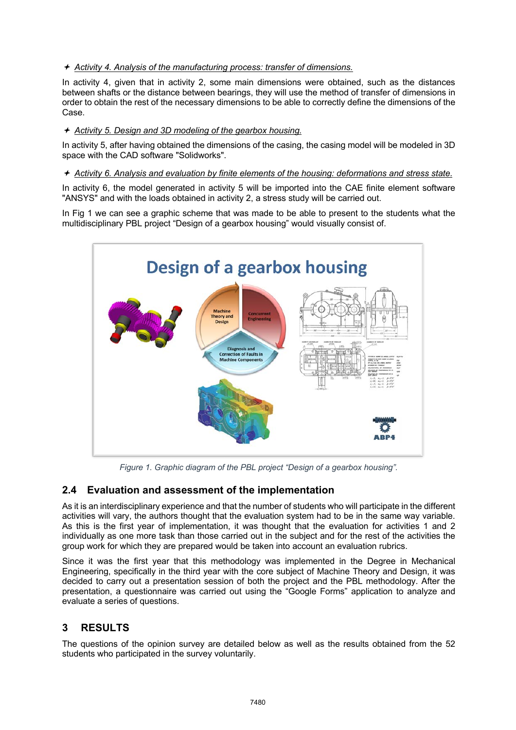ª *Activity 4. Analysis of the manufacturing process: transfer of dimensions.*

In activity 4, given that in activity 2, some main dimensions were obtained, such as the distances between shafts or the distance between bearings, they will use the method of transfer of dimensions in order to obtain the rest of the necessary dimensions to be able to correctly define the dimensions of the Case.

#### ª *Activity 5. Design and 3D modeling of the gearbox housing.*

In activity 5, after having obtained the dimensions of the casing, the casing model will be modeled in 3D space with the CAD software "Solidworks".

#### ª *Activity 6. Analysis and evaluation by finite elements of the housing: deformations and stress state.*

In activity 6, the model generated in activity 5 will be imported into the CAE finite element software "ANSYS" and with the loads obtained in activity 2, a stress study will be carried out.

In Fig 1 we can see a graphic scheme that was made to be able to present to the students what the multidisciplinary PBL project "Design of a gearbox housing" would visually consist of.



*Figure 1. Graphic diagram of the PBL project "Design of a gearbox housing".*

## **2.4 Evaluation and assessment of the implementation**

As it is an interdisciplinary experience and that the number of students who will participate in the different activities will vary, the authors thought that the evaluation system had to be in the same way variable. As this is the first year of implementation, it was thought that the evaluation for activities 1 and 2 individually as one more task than those carried out in the subject and for the rest of the activities the group work for which they are prepared would be taken into account an evaluation rubrics.

Since it was the first year that this methodology was implemented in the Degree in Mechanical Engineering, specifically in the third year with the core subject of Machine Theory and Design, it was decided to carry out a presentation session of both the project and the PBL methodology. After the presentation, a questionnaire was carried out using the "Google Forms" application to analyze and evaluate a series of questions.

# **3 RESULTS**

The questions of the opinion survey are detailed below as well as the results obtained from the 52 students who participated in the survey voluntarily.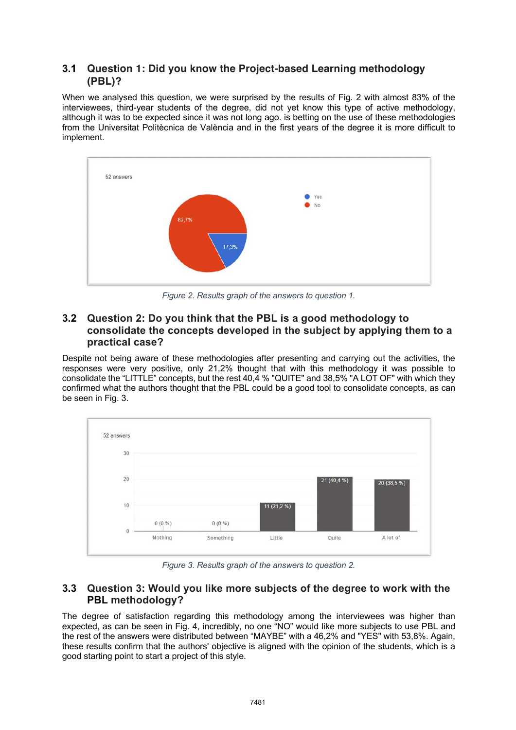## **3.1 Question 1: Did you know the Project-based Learning methodology (PBL)?**

When we analysed this question, we were surprised by the results of Fig. 2 with almost 83% of the interviewees, third-year students of the degree, did not yet know this type of active methodology, although it was to be expected since it was not long ago. is betting on the use of these methodologies from the Universitat Politècnica de València and in the first years of the degree it is more difficult to implement.



*Figure 2. Results graph of the answers to question 1.*

## **3.2 Question 2: Do you think that the PBL is a good methodology to consolidate the concepts developed in the subject by applying them to a practical case?**

Despite not being aware of these methodologies after presenting and carrying out the activities, the responses were very positive, only 21,2% thought that with this methodology it was possible to consolidate the "LITTLE" concepts, but the rest 40,4 % "QUITE" and 38,5% "A LOT OF" with which they confirmed what the authors thought that the PBL could be a good tool to consolidate concepts, as can be seen in Fig. 3.



*Figure 3. Results graph of the answers to question 2.*

## **3.3 Question 3: Would you like more subjects of the degree to work with the PBL methodology?**

The degree of satisfaction regarding this methodology among the interviewees was higher than expected, as can be seen in Fig. 4, incredibly, no one "NO" would like more subjects to use PBL and the rest of the answers were distributed between "MAYBE" with a 46,2% and "YES" with 53,8%. Again, these results confirm that the authors' objective is aligned with the opinion of the students, which is a good starting point to start a project of this style.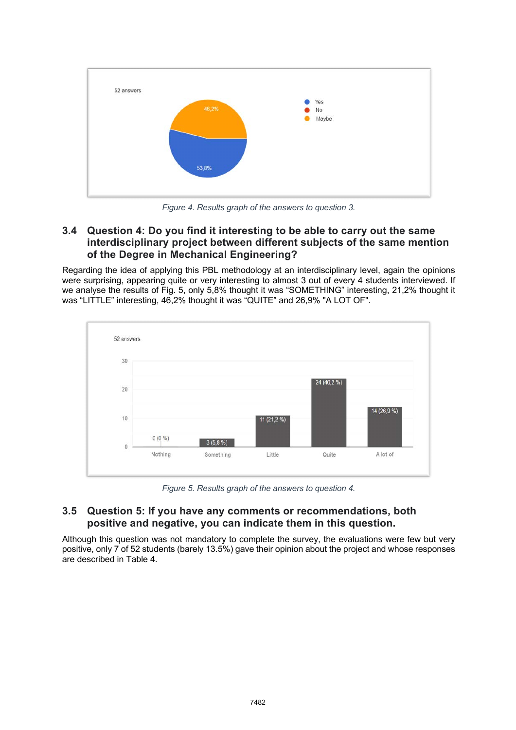

*Figure 4. Results graph of the answers to question 3.*

## **3.4 Question 4: Do you find it interesting to be able to carry out the same interdisciplinary project between different subjects of the same mention of the Degree in Mechanical Engineering?**

Regarding the idea of applying this PBL methodology at an interdisciplinary level, again the opinions were surprising, appearing quite or very interesting to almost 3 out of every 4 students interviewed. If we analyse the results of Fig. 5, only 5,8% thought it was "SOMETHING" interesting, 21,2% thought it was "LITTLE" interesting, 46,2% thought it was "QUITE" and 26,9% "A LOT OF".



*Figure 5. Results graph of the answers to question 4.*

### **3.5 Question 5: If you have any comments or recommendations, both positive and negative, you can indicate them in this question.**

Although this question was not mandatory to complete the survey, the evaluations were few but very positive, only 7 of 52 students (barely 13.5%) gave their opinion about the project and whose responses are described in Table 4.